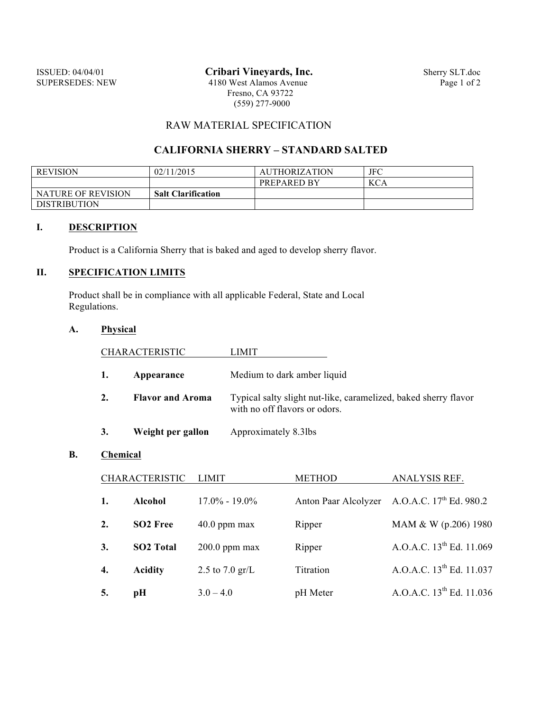ISSUED: 04/04/01 **Cribari Vineyards, Inc.** Sherry SLT.doc<br>SUPERSEDES: NEW 4180 West Alamos Avenue Page 1 of 2 4180 West Alamos Avenue Fresno, CA 93722 (559) 277-9000

# RAW MATERIAL SPECIFICATION

## **CALIFORNIA SHERRY – STANDARD SALTED**

| <b>REVISION</b>           | 02/11/2015                | <b>AUTHORIZATION</b> | JFC        |
|---------------------------|---------------------------|----------------------|------------|
|                           |                           | <b>PREPARED BY</b>   | <b>KCA</b> |
| <b>NATURE OF REVISION</b> | <b>Salt Clarification</b> |                      |            |
| <b>DISTRIBUTION</b>       |                           |                      |            |

### **I. DESCRIPTION**

Product is a California Sherry that is baked and aged to develop sherry flavor.

# **II. SPECIFICATION LIMITS**

Product shall be in compliance with all applicable Federal, State and Local Regulations.

## **A. Physical**

| <b>CHARACTERISTIC</b> |                         | LIMIT                                                                                            |
|-----------------------|-------------------------|--------------------------------------------------------------------------------------------------|
|                       | Appearance              | Medium to dark amber liquid                                                                      |
| 2.                    | <b>Flavor and Aroma</b> | Typical salty slight nut-like, caramelized, baked sherry flavor<br>with no off flavors or odors. |
|                       | Weight per gallon       | Approximately 8.3lbs                                                                             |

#### **B. Chemical**

| <b>CHARACTERISTIC</b> |                      | LIMIT-            | <b>METHOD</b> | <b>ANALYSIS REF.</b>                                     |
|-----------------------|----------------------|-------------------|---------------|----------------------------------------------------------|
| 1.                    | Alcohol              | $17.0\% - 19.0\%$ |               | Anton Paar Alcolyzer A.O.A.C. 17 <sup>th</sup> Ed. 980.2 |
| 2.                    | SO <sub>2</sub> Free | $40.0$ ppm max    | Ripper        | MAM & W (p.206) 1980                                     |
| 3.                    | <b>SO2 Total</b>     | $200.0$ ppm max   | Ripper        | A.O.A.C. 13 <sup>th</sup> Ed. 11.069                     |
| 4.                    | <b>Acidity</b>       | 2.5 to 7.0 $gr/L$ | Titration     | A.O.A.C. 13 <sup>th</sup> Ed. 11.037                     |
| 5.                    | pH                   | $3.0 - 4.0$       | pH Meter      | A.O.A.C. 13 <sup>th</sup> Ed. 11.036                     |